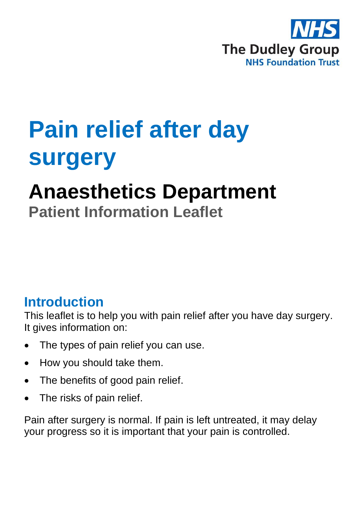

## **Pain relief after day surgery**

# **Anaesthetics Department**

**Patient Information Leaflet**

## **Introduction**

This leaflet is to help you with pain relief after you have day surgery. It gives information on:

- The types of pain relief you can use.
- How you should take them.
- The benefits of good pain relief.
- The risks of pain relief.

Pain after surgery is normal. If pain is left untreated, it may delay your progress so it is important that your pain is controlled.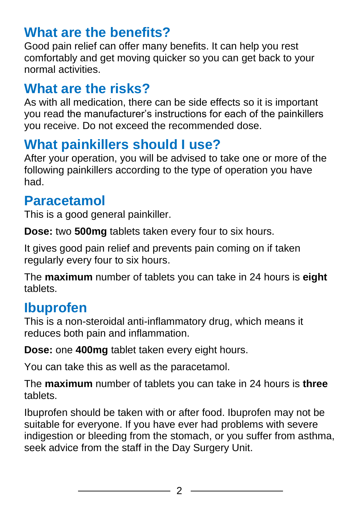## **What are the benefits?**

Good pain relief can offer many benefits. It can help you rest comfortably and get moving quicker so you can get back to your normal activities.

## **What are the risks?**

As with all medication, there can be side effects so it is important you read the manufacturer's instructions for each of the painkillers you receive. Do not exceed the recommended dose.

## **What painkillers should I use?**

After your operation, you will be advised to take one or more of the following painkillers according to the type of operation you have had.

## **Paracetamol**

This is a good general painkiller.

**Dose:** two **500mg** tablets taken every four to six hours.

It gives good pain relief and prevents pain coming on if taken regularly every four to six hours.

The **maximum** number of tablets you can take in 24 hours is **eight**  tablets.

## **Ibuprofen**

This is a non-steroidal anti-inflammatory drug, which means it reduces both pain and inflammation.

**Dose:** one **400mg** tablet taken every eight hours.

You can take this as well as the paracetamol.

The **maximum** number of tablets you can take in 24 hours is **three**  tablets.

Ibuprofen should be taken with or after food. Ibuprofen may not be suitable for everyone. If you have ever had problems with severe indigestion or bleeding from the stomach, or you suffer from asthma, seek advice from the staff in the Day Surgery Unit.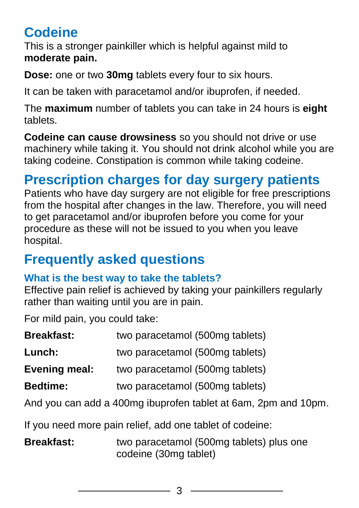## **Codeine**

This is a stronger painkiller which is helpful against mild to **moderate pain.**

**Dose:** one or two **30mg** tablets every four to six hours.

It can be taken with paracetamol and/or ibuprofen, if needed.

The **maximum** number of tablets you can take in 24 hours is **eight**  tablets.

**Codeine can cause drowsiness** so you should not drive or use machinery while taking it. You should not drink alcohol while you are taking codeine. Constipation is common while taking codeine.

## **Prescription charges for day surgery patients**

Patients who have day surgery are not eligible for free prescriptions from the hospital after changes in the law. Therefore, you will need to get paracetamol and/or ibuprofen before you come for your procedure as these will not be issued to you when you leave hospital.

## **Frequently asked questions**

#### **What is the best way to take the tablets?**

Effective pain relief is achieved by taking your painkillers regularly rather than waiting until you are in pain.

For mild pain, you could take:

| <b>Breakfast:</b>    | two paracetamol (500mg tablets) |
|----------------------|---------------------------------|
| Lunch:               | two paracetamol (500mg tablets) |
| <b>Evening meal:</b> | two paracetamol (500mg tablets) |
| <b>Bedtime:</b>      | two paracetamol (500mg tablets) |

And you can add a 400mg ibuprofen tablet at 6am, 2pm and 10pm.

If you need more pain relief, add one tablet of codeine:

**Breakfast:** two paracetamol (500mg tablets) plus one codeine (30mg tablet)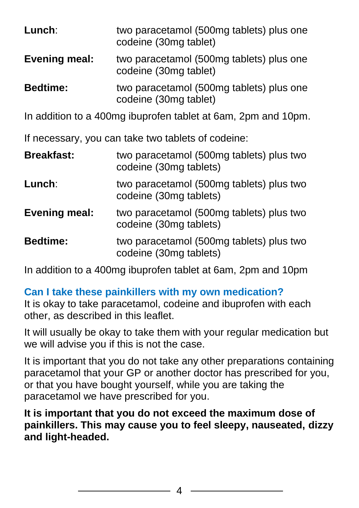| Lunch:                                                             | two paracetamol (500mg tablets) plus one<br>codeine (30mg tablet)  |  |  |
|--------------------------------------------------------------------|--------------------------------------------------------------------|--|--|
| <b>Evening meal:</b>                                               | two paracetamol (500mg tablets) plus one<br>codeine (30mg tablet)  |  |  |
| <b>Bedtime:</b>                                                    | two paracetamol (500mg tablets) plus one<br>codeine (30mg tablet)  |  |  |
| In addition to a 400mg ibuprofen tablet at 6am, 2pm and 10pm.      |                                                                    |  |  |
| If necessary, you can take two tablets of codeine:                 |                                                                    |  |  |
| <b>Breakfast:</b>                                                  | two paracetamol (500mg tablets) plus two<br>codeine (30mg tablets) |  |  |
| Lunch:                                                             | two paracetamol (500mg tablets) plus two<br>codeine (30mg tablets) |  |  |
| <b>Evening meal:</b>                                               | two paracetamol (500mg tablets) plus two<br>codeine (30mg tablets) |  |  |
| <b>Bedtime:</b>                                                    | two paracetamol (500mg tablets) plus two<br>codeine (30mg tablets) |  |  |
| In oddition to a $100ma$ ibuncator tablet at Gam, $2ma$ and $10nm$ |                                                                    |  |  |

In addition to a 400mg ibuprofen tablet at 6am, 2pm and 10pm

**Can I take these painkillers with my own medication?**

It is okay to take paracetamol, codeine and ibuprofen with each other, as described in this leaflet.

It will usually be okay to take them with your regular medication but we will advise you if this is not the case.

It is important that you do not take any other preparations containing paracetamol that your GP or another doctor has prescribed for you, or that you have bought yourself, while you are taking the paracetamol we have prescribed for you.

**It is important that you do not exceed the maximum dose of painkillers. This may cause you to feel sleepy, nauseated, dizzy and light-headed.**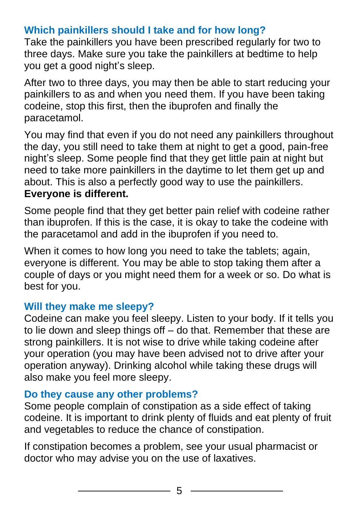#### **Which painkillers should I take and for how long?**

Take the painkillers you have been prescribed regularly for two to three days. Make sure you take the painkillers at bedtime to help you get a good night's sleep.

After two to three days, you may then be able to start reducing your painkillers to as and when you need them. If you have been taking codeine, stop this first, then the ibuprofen and finally the paracetamol.

You may find that even if you do not need any painkillers throughout the day, you still need to take them at night to get a good, pain-free night's sleep. Some people find that they get little pain at night but need to take more painkillers in the daytime to let them get up and about. This is also a perfectly good way to use the painkillers. **Everyone is different.**

Some people find that they get better pain relief with codeine rather than ibuprofen. If this is the case, it is okay to take the codeine with the paracetamol and add in the ibuprofen if you need to.

When it comes to how long you need to take the tablets; again, everyone is different. You may be able to stop taking them after a couple of days or you might need them for a week or so. Do what is best for you.

#### **Will they make me sleepy?**

Codeine can make you feel sleepy. Listen to your body. If it tells you to lie down and sleep things off – do that. Remember that these are strong painkillers. It is not wise to drive while taking codeine after your operation (you may have been advised not to drive after your operation anyway). Drinking alcohol while taking these drugs will also make you feel more sleepy.

#### **Do they cause any other problems?**

Some people complain of constipation as a side effect of taking codeine. It is important to drink plenty of fluids and eat plenty of fruit and vegetables to reduce the chance of constipation.

If constipation becomes a problem, see your usual pharmacist or doctor who may advise you on the use of laxatives.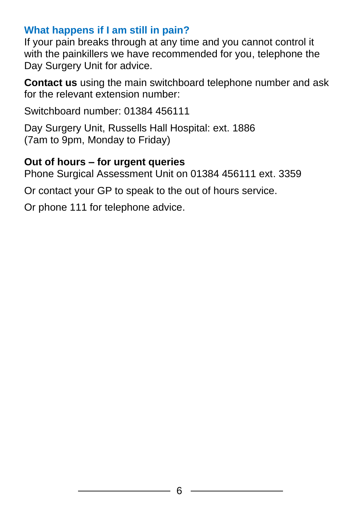#### **What happens if I am still in pain?**

If your pain breaks through at any time and you cannot control it with the painkillers we have recommended for you, telephone the Day Surgery Unit for advice.

**Contact us** using the main switchboard telephone number and ask for the relevant extension number:

Switchboard number: 01384 456111

Day Surgery Unit, Russells Hall Hospital: ext. 1886 (7am to 9pm, Monday to Friday)

#### **Out of hours – for urgent queries**

Phone Surgical Assessment Unit on 01384 456111 ext. 3359

Or contact your GP to speak to the out of hours service.

Or phone 111 for telephone advice.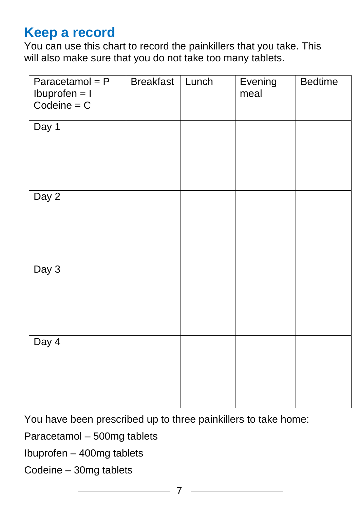## **Keep a record**

You can use this chart to record the painkillers that you take. This will also make sure that you do not take too many tablets.

| Paracetamol = $P$<br>$Ib$ uprofen = $I$<br>$Codeine = C$ | <b>Breakfast</b> | Lunch | Evening<br>meal | <b>Bedtime</b> |
|----------------------------------------------------------|------------------|-------|-----------------|----------------|
| Day 1                                                    |                  |       |                 |                |
| Day 2                                                    |                  |       |                 |                |
| Day 3                                                    |                  |       |                 |                |
| Day 4                                                    |                  |       |                 |                |

You have been prescribed up to three painkillers to take home:

Paracetamol – 500mg tablets

Ibuprofen – 400mg tablets

Codeine – 30mg tablets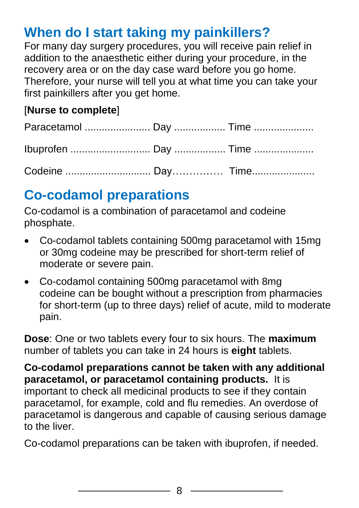## **When do I start taking my painkillers?**

For many day surgery procedures, you will receive pain relief in addition to the anaesthetic either during your procedure, in the recovery area or on the day case ward before you go home. Therefore, your nurse will tell you at what time you can take your first painkillers after you get home.

#### [**Nurse to complete**]

## **Co-codamol preparations**

Co-codamol is a combination of paracetamol and codeine phosphate.

- Co-codamol tablets containing 500mg paracetamol with 15mg or 30mg codeine may be prescribed for short-term relief of moderate or severe pain.
- Co-codamol containing 500mg paracetamol with 8mg codeine can be bought without a prescription from pharmacies for short-term (up to three days) relief of acute, mild to moderate pain.

**Dose**: One or two tablets every four to six hours. The **maximum**  number of tablets you can take in 24 hours is **eight** tablets.

**Co-codamol preparations cannot be taken with any additional paracetamol, or paracetamol containing products.** It is important to check all medicinal products to see if they contain paracetamol, for example, cold and flu remedies. An overdose of paracetamol is dangerous and capable of causing serious damage to the liver.

Co-codamol preparations can be taken with ibuprofen, if needed.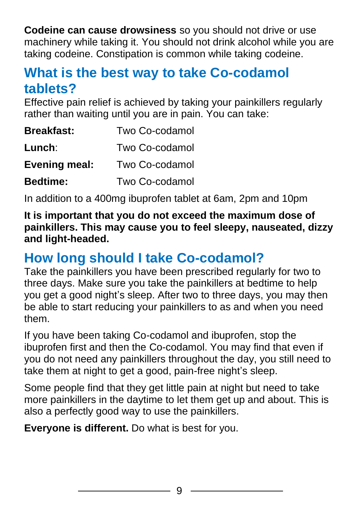**Codeine can cause drowsiness** so you should not drive or use machinery while taking it. You should not drink alcohol while you are taking codeine. Constipation is common while taking codeine.

## **What is the best way to take Co-codamol tablets?**

Effective pain relief is achieved by taking your painkillers regularly rather than waiting until you are in pain. You can take:

| <b>Breakfast:</b>    | Two Co-codamol |
|----------------------|----------------|
| Lunch:               | Two Co-codamol |
| <b>Evening meal:</b> | Two Co-codamol |
| <b>Bedtime:</b>      | Two Co-codamol |

In addition to a 400mg ibuprofen tablet at 6am, 2pm and 10pm

**It is important that you do not exceed the maximum dose of painkillers. This may cause you to feel sleepy, nauseated, dizzy and light-headed.**

## **How long should I take Co-codamol?**

Take the painkillers you have been prescribed regularly for two to three days. Make sure you take the painkillers at bedtime to help you get a good night's sleep. After two to three days, you may then be able to start reducing your painkillers to as and when you need them.

If you have been taking Co-codamol and ibuprofen, stop the ibuprofen first and then the Co-codamol. You may find that even if you do not need any painkillers throughout the day, you still need to take them at night to get a good, pain-free night's sleep.

Some people find that they get little pain at night but need to take more painkillers in the daytime to let them get up and about. This is also a perfectly good way to use the painkillers.

**Everyone is different.** Do what is best for you.